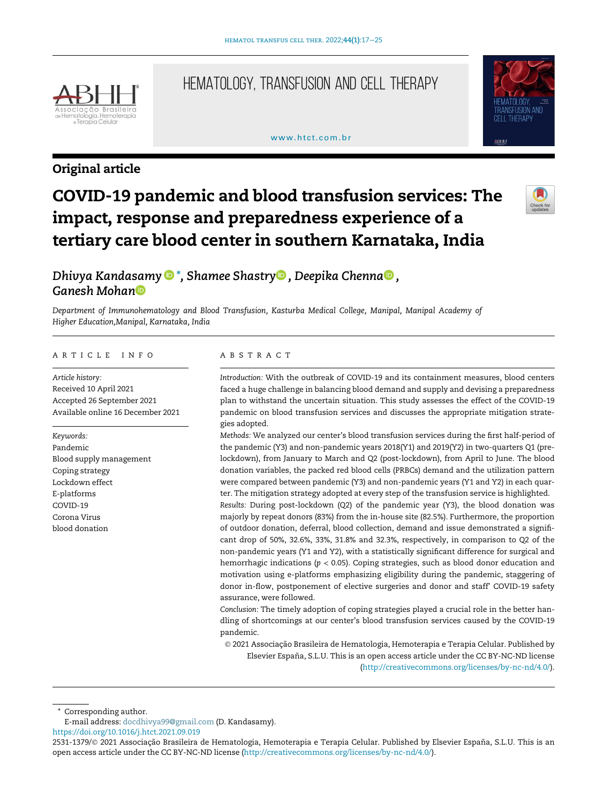

Original article

# Hematology, Transfusion and Cell Therapy

# www.htct.com.hr



# COVID-19 pandemic and blood transfusion services: The impact, response and preparedness experience of a tertiary care blood center in southern Karnataka, India



# Dhivya Kandasamy  $\bullet^*$  $\bullet^*$ [, Shamee Shastry](http://orcid.org/0000-0001-9796-2326) $\bullet$ [, Deepika Chenna](http://orcid.org/0000-0003-1461-5498) $\bullet$ [,](http://orcid.org/0000-0003-1461-5498) [Ganesh Mohan](http://orcid.org/0000-0002-8728-9307)

Department of Immunohematology and Blood Transfusion, Kasturba Medical College, Manipal, Manipal Academy of Higher Education,Manipal, Karnataka, India

### ARTICLE INFO

Article history: Received 10 April 2021 Accepted 26 September 2021 Available online 16 December 2021

Keywords: Pandemic Blood supply management Coping strategy Lockdown effect E-platforms COVID-19 Corona Virus blood donation

## ABSTRACT

Introduction: With the outbreak of COVID-19 and its containment measures, blood centers faced a huge challenge in balancing blood demand and supply and devising a preparedness plan to withstand the uncertain situation. This study assesses the effect of the COVID-19 pandemic on blood transfusion services and discusses the appropriate mitigation strategies adopted.

Methods: We analyzed our center's blood transfusion services during the first half-period of the pandemic (Y3) and non-pandemic years 2018(Y1) and 2019(Y2) in two-quarters Q1 (prelockdown), from January to March and Q2 (post-lockdown), from April to June. The blood donation variables, the packed red blood cells (PRBCs) demand and the utilization pattern were compared between pandemic (Y3) and non-pandemic years (Y1 and Y2) in each quarter. The mitigation strategy adopted at every step of the transfusion service is highlighted.

Results: During post-lockdown (Q2) of the pandemic year (Y3), the blood donation was majorly by repeat donors (83%) from the in-house site (82.5%). Furthermore, the proportion of outdoor donation, deferral, blood collection, demand and issue demonstrated a significant drop of 50%, 32.6%, 33%, 31.8% and 32.3%, respectively, in comparison to Q2 of the non-pandemic years (Y1 and Y2), with a statistically significant difference for surgical and hemorrhagic indications ( $p < 0.05$ ). Coping strategies, such as blood donor education and motivation using e-platforms emphasizing eligibility during the pandemic, staggering of donor in-flow, postponement of elective surgeries and donor and staff' COVID-19 safety assurance, were followed.

Conclusion: The timely adoption of coping strategies played a crucial role in the better handling of shortcomings at our center's blood transfusion services caused by the COVID-19 pandemic.

 2021 Associação Brasileira de Hematologia, Hemoterapia e Terapia Celular. Published by Elsevier España, S.L.U. This is an open access article under the CC BY-NC-ND license

[\(http://creativecommons.org/licenses/by-nc-nd/4.0/\)](http://creativecommons.org/licenses/by-nc-nd/4.0/).

Corresponding author.

E-mail address: [docdhivya99@gmail.com](mailto:docdhivya99@gmail.com) (D. Kandasamy).

<https://doi.org/10.1016/j.htct.2021.09.019>

<sup>2531-1379/© 2021</sup> Associação Brasileira de Hematologia, Hemoterapia e Terapia Celular. Published by Elsevier España, S.L.U. This is an open access article under the CC BY-NC-ND license [\(http://creativecommons.org/licenses/by-nc-nd/4.0/](http://creativecommons.org/licenses/by-nc-nd/4.0/)).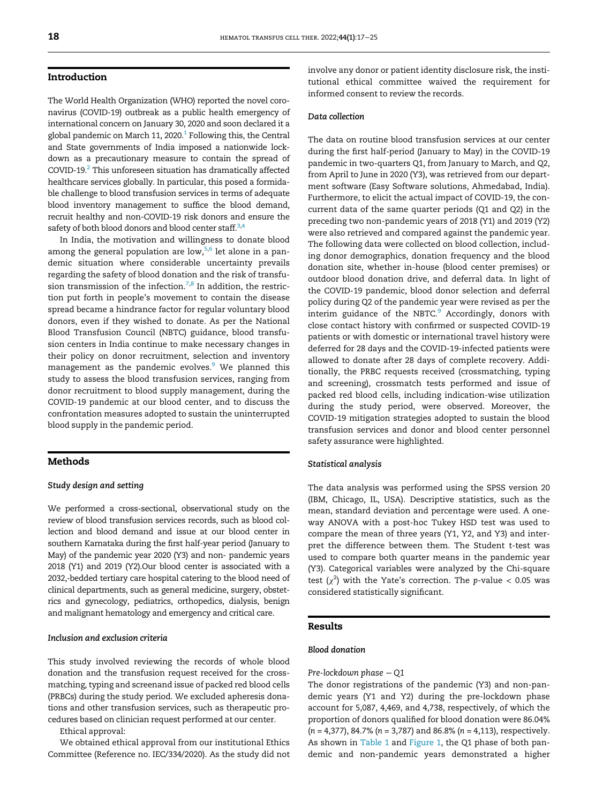# Introduction

The World Health Organization (WHO) reported the novel coronavirus (COVID-19) outbreak as a public health emergency of international concern on January 30, 2020 and soon declared it a global pandemic on March [1](#page-7-0)1, 2020. $^1$  Following this, the Central and State governments of India imposed a nationwide lockdown as a precautionary measure to contain the spread of COVID-19. $^2$  $^2$  This unforeseen situation has dramatically affected healthcare services globally. In particular, this posed a formidable challenge to blood transfusion services in terms of adequate blood inventory management to suffice the blood demand, recruit healthy and non-COVID-19 risk donors and ensure the safety of both blood donors and blood center staff.<sup>[3](#page-7-2),[4](#page-7-3)</sup>

In India, the motivation and willingness to donate blood among the general population are low, $5,6$  $5,6$  let alone in a pandemic situation where considerable uncertainty prevails regarding the safety of blood donation and the risk of transfu-sion transmission of the infection.<sup>[7](#page-7-6)[,8](#page-7-7)</sup> In addition, the restriction put forth in people's movement to contain the disease spread became a hindrance factor for regular voluntary blood donors, even if they wished to donate. As per the National Blood Transfusion Council (NBTC) guidance, blood transfusion centers in India continue to make necessary changes in their policy on donor recruitment, selection and inventory management as the pandemic evolves.<sup>[9](#page-7-8)</sup> We planned this study to assess the blood transfusion services, ranging from donor recruitment to blood supply management, during the COVID-19 pandemic at our blood center, and to discuss the confrontation measures adopted to sustain the uninterrupted blood supply in the pandemic period.

# Methods

# Study design and setting

We performed a cross-sectional, observational study on the review of blood transfusion services records, such as blood collection and blood demand and issue at our blood center in southern Karnataka during the first half-year period (January to May) of the pandemic year 2020 (Y3) and non- pandemic years 2018 (Y1) and 2019 (Y2).Our blood center is associated with a 2032,-bedded tertiary care hospital catering to the blood need of clinical departments, such as general medicine, surgery, obstetrics and gynecology, pediatrics, orthopedics, dialysis, benign and malignant hematology and emergency and critical care.

# Inclusion and exclusion criteria

This study involved reviewing the records of whole blood donation and the transfusion request received for the crossmatching, typing and screenand issue of packed red blood cells (PRBCs) during the study period. We excluded apheresis donations and other transfusion services, such as therapeutic procedures based on clinician request performed at our center.

Ethical approval:

We obtained ethical approval from our institutional Ethics Committee (Reference no. IEC/334/2020). As the study did not involve any donor or patient identity disclosure risk, the institutional ethical committee waived the requirement for informed consent to review the records.

# Data collection

The data on routine blood transfusion services at our center during the first half-period (January to May) in the COVID-19 pandemic in two-quarters Q1, from January to March, and Q2, from April to June in 2020 (Y3), was retrieved from our department software (Easy Software solutions, Ahmedabad, India). Furthermore, to elicit the actual impact of COVID-19, the concurrent data of the same quarter periods (Q1 and Q2) in the preceding two non-pandemic years of 2018 (Y1) and 2019 (Y2) were also retrieved and compared against the pandemic year. The following data were collected on blood collection, including donor demographics, donation frequency and the blood donation site, whether in-house (blood center premises) or outdoor blood donation drive, and deferral data. In light of the COVID-19 pandemic, blood donor selection and deferral policy during Q2 of the pandemic year were revised as per the interim guidance of the NBTC. $9$  Accordingly, donors with close contact history with confirmed or suspected COVID-19 patients or with domestic or international travel history were deferred for 28 days and the COVID-19-infected patients were allowed to donate after 28 days of complete recovery. Additionally, the PRBC requests received (crossmatching, typing and screening), crossmatch tests performed and issue of packed red blood cells, including indication-wise utilization during the study period, were observed. Moreover, the COVID-19 mitigation strategies adopted to sustain the blood transfusion services and donor and blood center personnel safety assurance were highlighted.

# Statistical analysis

The data analysis was performed using the SPSS version 20 (IBM, Chicago, IL, USA). Descriptive statistics, such as the mean, standard deviation and percentage were used. A oneway ANOVA with a post-hoc Tukey HSD test was used to compare the mean of three years (Y1, Y2, and Y3) and interpret the difference between them. The Student t-test was used to compare both quarter means in the pandemic year (Y3). Categorical variables were analyzed by the Chi-square test  $(\chi^2)$  with the Yate's correction. The p-value < 0.05 was considered statistically significant.

# Results

## Blood donation

## Pre-lockdown phase <sup>−</sup> Q1

The donor registrations of the pandemic (Y3) and non-pandemic years (Y1 and Y2) during the pre-lockdown phase account for 5,087, 4,469, and 4,738, respectively, of which the proportion of donors qualified for blood donation were 86.04%  $(n = 4,377)$ , 84.7%  $(n = 3,787)$  and 86.8%  $(n = 4,113)$ , respectively. As shown in [Table 1](#page-2-0) and [Figure 1,](#page-2-1) the Q1 phase of both pandemic and non-pandemic years demonstrated a higher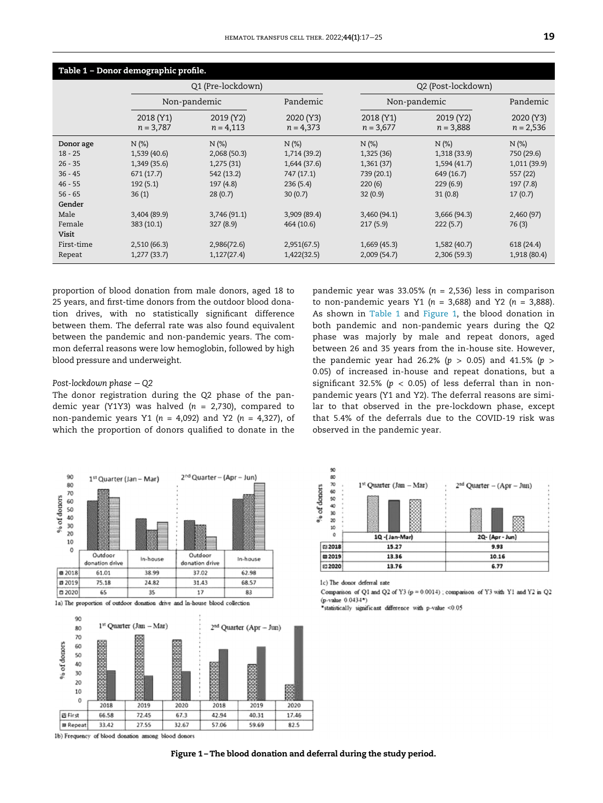<span id="page-2-0"></span>

| Table 1 - Donor demographic profile. |                          |                          |                          |                          |                          |                          |  |  |
|--------------------------------------|--------------------------|--------------------------|--------------------------|--------------------------|--------------------------|--------------------------|--|--|
|                                      |                          | Q1 (Pre-lockdown)        |                          |                          | Q2 (Post-lockdown)       |                          |  |  |
|                                      | Non-pandemic             |                          | Pandemic                 | Non-pandemic             |                          | Pandemic                 |  |  |
|                                      | 2018 (Y1)<br>$n = 3,787$ | 2019 (Y2)<br>$n = 4,113$ | 2020 (Y3)<br>$n = 4,373$ | 2018 (Y1)<br>$n = 3,677$ | 2019 (Y2)<br>$n = 3,888$ | 2020 (Y3)<br>$n = 2,536$ |  |  |
| Donor age                            | $N(\%)$                  | $N$ (%)                  | $N$ (%)                  | $N$ (%)                  | $N$ (%)                  | $N$ (%)                  |  |  |
| $18 - 25$                            | 1,539 (40.6)             | 2,068 (50.3)             | 1,714 (39.2)             | 1,325 (36)               | 1,318 (33.9)             | 750 (29.6)               |  |  |
| $26 - 35$                            | 1,349 (35.6)             | 1,275(31)                | 1,644 (37.6)             | 1,361(37)                | 1,594 (41.7)             | 1,011 (39.9)             |  |  |
| $36 - 45$                            | 671(17.7)                | 542 (13.2)               | 747 (17.1)               | 739 (20.1)               | 649 (16.7)               | 557 (22)                 |  |  |
| $46 - 55$                            | 192(5.1)                 | 197(4.8)                 | 236(5.4)                 | 220(6)                   | 229(6.9)                 | 197(7.8)                 |  |  |
| $56 - 65$                            | 36(1)                    | 28(0.7)                  | 30(0.7)                  | 32(0.9)                  | 31(0.8)                  | 17(0.7)                  |  |  |
| Gender                               |                          |                          |                          |                          |                          |                          |  |  |
| Male                                 | 3,404 (89.9)             | 3,746 (91.1)             | 3,909(89.4)              | 3,460(94.1)              | 3,666 (94.3)             | 2,460(97)                |  |  |
| Female                               | 383 (10.1)               | 327(8.9)                 | 464 (10.6)               | 217(5.9)                 | 222(5.7)                 | 76(3)                    |  |  |
| Visit                                |                          |                          |                          |                          |                          |                          |  |  |
| First-time                           | 2,510(66.3)              | 2,986(72.6)              | 2,951(67.5)              | 1,669(45.3)              | 1,582 (40.7)             | 618 (24.4)               |  |  |
| Repeat                               | 1,277(33.7)              | 1,127(27.4)              | 1,422(32.5)              | 2,009 (54.7)             | 2,306 (59.3)             | 1,918 (80.4)             |  |  |

proportion of blood donation from male donors, aged 18 to 25 years, and first-time donors from the outdoor blood donation drives, with no statistically significant difference between them. The deferral rate was also found equivalent between the pandemic and non-pandemic years. The common deferral reasons were low hemoglobin, followed by high blood pressure and underweight.

# Post-lockdown phase <sup>−</sup> Q2

The donor registration during the Q2 phase of the pandemic year (Y1Y3) was halved  $(n = 2,730)$ , compared to non-pandemic years Y1 ( $n = 4,092$ ) and Y2 ( $n = 4,327$ ), of which the proportion of donors qualified to donate in the

pandemic year was 33.05% ( $n = 2,536$ ) less in comparison to non-pandemic years Y1 ( $n = 3,688$ ) and Y2 ( $n = 3,888$ ). As shown in [Table 1](#page-2-0) and [Figure 1](#page-2-1), the blood donation in both pandemic and non-pandemic years during the Q2 phase was majorly by male and repeat donors, aged between 26 and 35 years from the in-house site. However, the pandemic year had 26.2% ( $p > 0.05$ ) and 41.5% ( $p > 0.05$ 0.05) of increased in-house and repeat donations, but a significant 32.5% ( $p < 0.05$ ) of less deferral than in nonpandemic years (Y1 and Y2). The deferral reasons are similar to that observed in the pre-lockdown phase, except that 5.4% of the deferrals due to the COVID-19 risk was observed in the pandemic year.

2<sup>nd</sup> Quarter - (Apr - Jun)

2Q- (Apr - Jun)

<span id="page-2-1"></span>



□ 2018  $15.27$ 9.93 **m2019** 13.36  $10.16$ E 2020 13.76 6.77 1c) The donor deferral rate Comparison of Q1 and Q2 of Y3 (p = 0.0014) ; comparison of Y3 with Y1 and Y2 in Q2 (p-value 0.0434\*) \*statistically significant difference with p-value <0.05

1st Quarter (Jan - Mar)

1Q -{Jan-Mar}

1b) Frequency of blood donation among blood donors

90

888888

10

 $\theta$ 

% of donors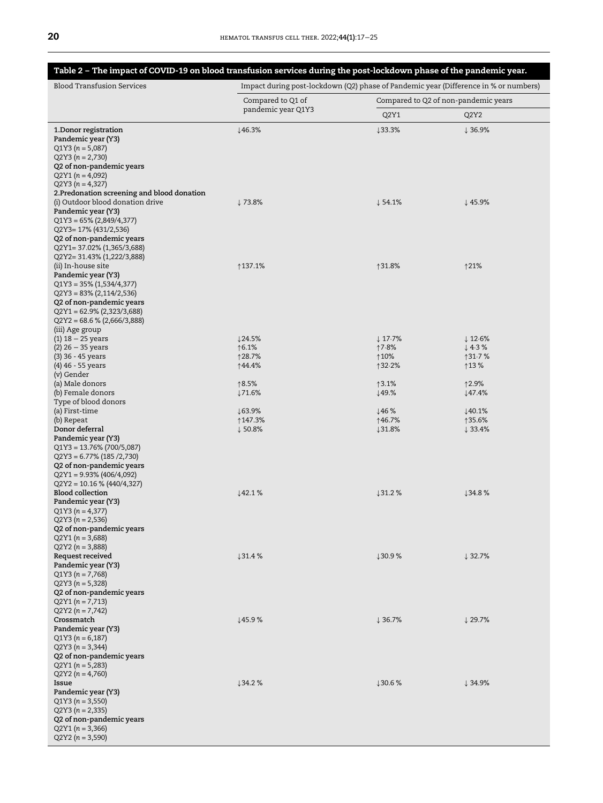# <span id="page-3-0"></span>Table 2 – The impact of COVID-19 on blood transfusion services during the post-lockdown phase of the pandemic year.

| <b>Blood Transfusion Services</b>                                                                                                                                                                                                                     | Impact during post-lockdown (Q2) phase of Pandemic year (Difference in % or numbers) |                                      |                               |  |  |
|-------------------------------------------------------------------------------------------------------------------------------------------------------------------------------------------------------------------------------------------------------|--------------------------------------------------------------------------------------|--------------------------------------|-------------------------------|--|--|
|                                                                                                                                                                                                                                                       | Compared to Q1 of                                                                    | Compared to Q2 of non-pandemic years |                               |  |  |
|                                                                                                                                                                                                                                                       | pandemic year Q1Y3                                                                   | Q2Y1                                 | Q2Y2                          |  |  |
| 1. Donor registration<br>Pandemic year (Y3)<br>$Q1Y3(n = 5,087)$<br>$Q2Y3(n = 2,730)$<br>Q2 of non-pandemic years<br>$Q2Y1(n = 4,092)$<br>$Q2Y3(n = 4,327)$                                                                                           | $\downarrow$ 46.3%                                                                   | ↓33.3%                               | ↓36.9%                        |  |  |
| 2. Predonation screening and blood donation<br>(i) Outdoor blood donation drive<br>Pandemic year (Y3)<br>$Q1Y3 = 65\% (2,849/4,377)$<br>Q2Y3= 17% (431/2,536)<br>Q2 of non-pandemic years<br>Q2Y1= 37.02% (1,365/3,688)<br>Q2Y2= 31.43% (1,222/3,888) | ↓73.8%                                                                               | ↓54.1%                               | ↓45.9%                        |  |  |
| (ii) In-house site<br>Pandemic year (Y3)<br>$Q1Y3 = 35\% (1,534/4,377)$<br>$Q2Y3 = 83\% (2,114/2,536)$<br>Q2 of non-pandemic years<br>$Q2Y1 = 62.9\% (2,323/3,688)$<br>$Q2Y2 = 68.6 % (2,666/3,888)$<br>(iii) Age group                               | ↑137.1%                                                                              | ↑31.8%                               | 121%                          |  |  |
| $(1)$ 18 - 25 years                                                                                                                                                                                                                                   | $\downarrow$ 24.5%                                                                   | $\downarrow$ 17.7%                   | $\downarrow$ 12.6%            |  |  |
| $(2)$ 26 $-$ 35 years                                                                                                                                                                                                                                 | ↑6.1%<br>↑28.7%                                                                      | ↑7⋅8%<br>↑10%                        | $\downarrow$ 4.3%<br>↑31.7%   |  |  |
| (3) 36 - 45 years<br>(4) 46 - 55 years                                                                                                                                                                                                                | ↑44.4%                                                                               | ↑32.2%                               | ↑13 %                         |  |  |
| (v) Gender                                                                                                                                                                                                                                            |                                                                                      |                                      |                               |  |  |
| (a) Male donors                                                                                                                                                                                                                                       | ↑8.5%                                                                                | ↑3.1%                                | ↑2.9%                         |  |  |
| (b) Female donors<br>Type of blood donors                                                                                                                                                                                                             | $\downarrow$ 71.6%                                                                   | ↓49.%                                | ↓47.4%                        |  |  |
| (a) First-time                                                                                                                                                                                                                                        | $\downarrow$ 63.9%                                                                   | 146%                                 | 140.1%                        |  |  |
| (b) Repeat                                                                                                                                                                                                                                            | ↑147.3%                                                                              | ↑46.7%                               | ↑35.6%                        |  |  |
| Donor deferral<br>Pandemic year (Y3)<br>$Q1Y3 = 13.76\% (700/5,087)$<br>$Q2Y3 = 6.77\% (185 / 2,730)$<br>Q2 of non-pandemic years<br>$Q2Y1 = 9.93\% (406/4,092)$<br>$Q2Y2 = 10.16 % (440/4,327)$<br><b>Blood collection</b>                           | $\downarrow$ 50.8%<br>142.1%                                                         | $131.8\%$                            | $\downarrow$ 33.4%<br>↓34.8 % |  |  |
| Pandemic year (Y3)<br>$Q1Y3(n = 4,377)$<br>$Q2Y3(n = 2,536)$<br>Q2 of non-pandemic years<br>$Q2Y1(n = 3,688)$<br>$Q2Y2(n = 3,888)$                                                                                                                    |                                                                                      | 131.2%                               |                               |  |  |
| Request received<br>Pandemic year (Y3)<br>$Q1Y3(n = 7,768)$<br>$Q2Y3(n = 5,328)$<br>Q2 of non-pandemic years<br>$Q2Y1(n = 7,713)$<br>$Q2Y2(n = 7,742)$                                                                                                | 131.4%                                                                               | 130.9%                               | $\downarrow$ 32.7%            |  |  |
| Crossmatch<br>Pandemic year (Y3)<br>$Q1Y3(n = 6,187)$<br>$Q2Y3(n = 3,344)$<br>Q2 of non-pandemic years<br>$Q2Y1(n = 5,283)$<br>$Q2Y2(n = 4,760)$                                                                                                      | 145.9%                                                                               | $\downarrow$ 36.7%                   | $\downarrow$ 29.7%            |  |  |
| Issue<br>Pandemic year (Y3)<br>$Q1Y3(n = 3,550)$<br>$Q2Y3(n = 2,335)$<br>Q2 of non-pandemic years<br>$Q2Y1(n = 3,366)$<br>$Q2Y2(n = 3,590)$                                                                                                           | 134.2%                                                                               | 130.6%                               | $\downarrow$ 34.9%            |  |  |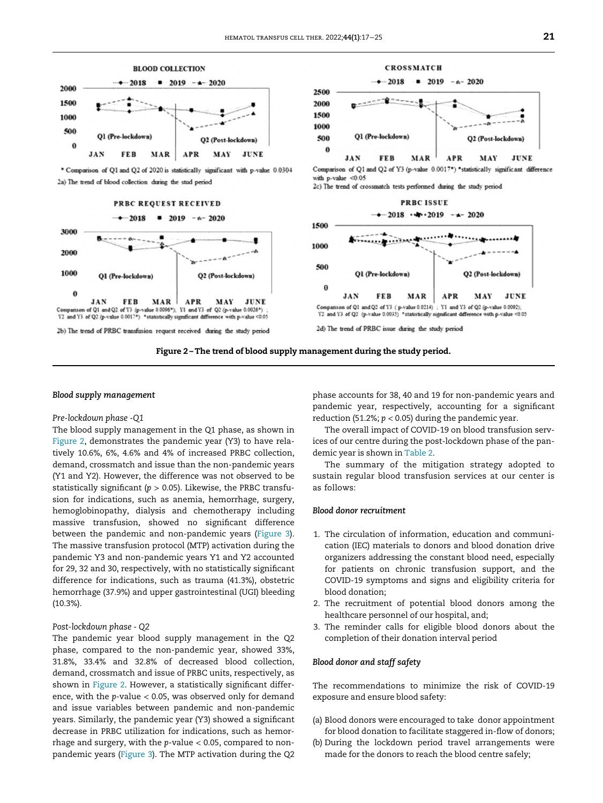<span id="page-4-0"></span>

\* Comparison of Q1 and Q2 of 2020 is statistically significant with p-value 0.0304 2a) The trend of blood collection during the stud period

## PRBC REQUEST RECEIVED

#### $-2018$  $-2019 - a - 2020$



 $-4$  2019  $-6$  2020  $-4 - 2018$ 2500 2000 1500 1000 Ol (Pre-lockdown) 500 Q2 (Post-lockdor Ö JAN FER MAR APR **MAV JUNE** Comparison of Q1 and Q2 of Y3 (p-value 0.0017\*) \*statistically significant difference with  $p$ -value < $0.05$ 2c) The trend of crossmatch tests performed during the study period

**CROSSMATCH** 



Figure 2 –The trend of blood supply management during the study period.

### Blood supply management

# Pre-lockdown phase -Q1

The blood supply management in the Q1 phase, as shown in [Figure 2](#page-4-0), demonstrates the pandemic year (Y3) to have relatively 10.6%, 6%, 4.6% and 4% of increased PRBC collection, demand, crossmatch and issue than the non-pandemic years (Y1 and Y2). However, the difference was not observed to be statistically significant ( $p > 0.05$ ). Likewise, the PRBC transfusion for indications, such as anemia, hemorrhage, surgery, hemoglobinopathy, dialysis and chemotherapy including massive transfusion, showed no significant difference between the pandemic and non-pandemic years [\(Figure 3](#page-5-0)). The massive transfusion protocol (MTP) activation during the pandemic Y3 and non-pandemic years Y1 and Y2 accounted for 29, 32 and 30, respectively, with no statistically significant difference for indications, such as trauma (41.3%), obstetric hemorrhage (37.9%) and upper gastrointestinal (UGI) bleeding (10.3%).

# Post-lockdown phase - Q2

The pandemic year blood supply management in the Q2 phase, compared to the non-pandemic year, showed 33%, 31.8%, 33.4% and 32.8% of decreased blood collection, demand, crossmatch and issue of PRBC units, respectively, as shown in [Figure 2](#page-4-0). However, a statistically significant difference, with the  $p$ -value  $< 0.05$ , was observed only for demand and issue variables between pandemic and non-pandemic years. Similarly, the pandemic year (Y3) showed a significant decrease in PRBC utilization for indications, such as hemorrhage and surgery, with the p-value < 0.05, compared to nonpandemic years [\(Figure 3](#page-5-0)). The MTP activation during the Q2 phase accounts for 38, 40 and 19 for non-pandemic years and pandemic year, respectively, accounting for a significant reduction (51.2%;  $p < 0.05$ ) during the pandemic year.

The overall impact of COVID-19 on blood transfusion services of our centre during the post-lockdown phase of the pandemic year is shown in [Table 2](#page-3-0).

The summary of the mitigation strategy adopted to sustain regular blood transfusion services at our center is as follows:

# Blood donor recruitment

- 1. The circulation of information, education and communication (IEC) materials to donors and blood donation drive organizers addressing the constant blood need, especially for patients on chronic transfusion support, and the COVID-19 symptoms and signs and eligibility criteria for blood donation;
- 2. The recruitment of potential blood donors among the healthcare personnel of our hospital, and;
- 3. The reminder calls for eligible blood donors about the completion of their donation interval period

## Blood donor and staff safety

The recommendations to minimize the risk of COVID-19 exposure and ensure blood safety:

- (a) Blood donors were encouraged to take donor appointment for blood donation to facilitate staggered in-flow of donors;
- (b) During the lockdown period travel arrangements were made for the donors to reach the blood centre safely;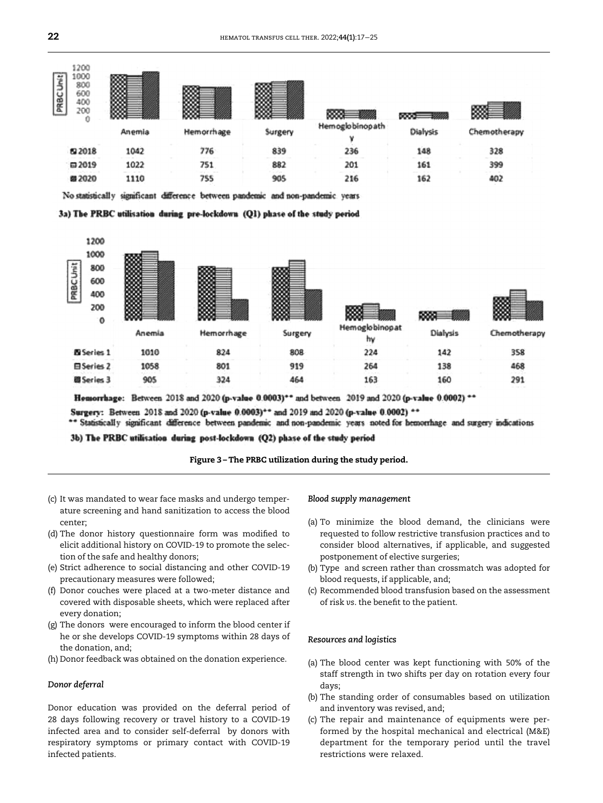<span id="page-5-0"></span>

No statistically significant difference between pandemic and non-pandemic vears





Homorrhage: Between 2018 and 2020 (p-value 0.0003)\*\* and between 2019 and 2020 (p-value 0.0002) \*\*

Surgery: Between 2018 and 2020 (p-value 0.0003)\*\* and 2019 and 2020 (p-value 0.0002) \*\*

\*\* Statistically significant difference between pandemic and non-pandemic years noted for hemorrhage and surgery indications

3b) The PRBC utilisation during post-lockdown (Q2) phase of the study period

Figure 3 –The PRBC utilization during the study period.

- (c) It was mandated to wear face masks and undergo temperature screening and hand sanitization to access the blood center;
- (d) The donor history questionnaire form was modified to elicit additional history on COVID-19 to promote the selection of the safe and healthy donors;
- (e) Strict adherence to social distancing and other COVID-19 precautionary measures were followed;
- (f) Donor couches were placed at a two-meter distance and covered with disposable sheets, which were replaced after every donation;
- (g) The donors were encouraged to inform the blood center if he or she develops COVID-19 symptoms within 28 days of the donation, and;
- (h) Donor feedback was obtained on the donation experience.

# Donor deferral

Donor education was provided on the deferral period of 28 days following recovery or travel history to a COVID-19 infected area and to consider self-deferral by donors with respiratory symptoms or primary contact with COVID-19 infected patients.

# Blood supply management

- (a) To minimize the blood demand, the clinicians were requested to follow restrictive transfusion practices and to consider blood alternatives, if applicable, and suggested postponement of elective surgeries;
- (b) Type and screen rather than crossmatch was adopted for blood requests, if applicable, and;
- (c) Recommended blood transfusion based on the assessment of risk vs. the benefit to the patient.

# Resources and logistics

- (a) The blood center was kept functioning with 50% of the staff strength in two shifts per day on rotation every four days;
- (b) The standing order of consumables based on utilization and inventory was revised, and;
- (c) The repair and maintenance of equipments were performed by the hospital mechanical and electrical (M&E) department for the temporary period until the travel restrictions were relaxed.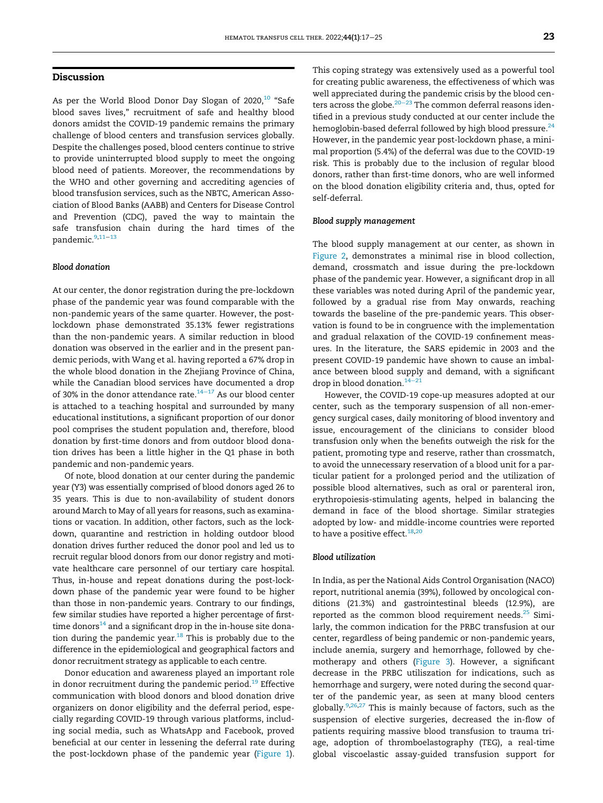# Discussion

As per the World Blood Donor Day Slogan of 2020,<sup>[10](#page-7-9)</sup> "Safe blood saves lives," recruitment of safe and healthy blood donors amidst the COVID-19 pandemic remains the primary challenge of blood centers and transfusion services globally. Despite the challenges posed, blood centers continue to strive to provide uninterrupted blood supply to meet the ongoing blood need of patients. Moreover, the recommendations by the WHO and other governing and accrediting agencies of blood transfusion services, such as the NBTC, American Association of Blood Banks (AABB) and Centers for Disease Control and Prevention (CDC), paved the way to maintain the safe transfusion chain during the hard times of the pandemic.[9](#page-7-8),[11](#page-7-10)−[13](#page-7-11)

# Blood donation

At our center, the donor registration during the pre-lockdown phase of the pandemic year was found comparable with the non-pandemic years of the same quarter. However, the postlockdown phase demonstrated 35.13% fewer registrations than the non-pandemic years. A similar reduction in blood donation was observed in the earlier and in the present pandemic periods, with Wang et al. having reported a 67% drop in the whole blood donation in the Zhejiang Province of China, while the Canadian blood services have documented a drop of 30% in the donor attendance rate. $14-17$  $14-17$  As our blood center is attached to a teaching hospital and surrounded by many educational institutions, a significant proportion of our donor pool comprises the student population and, therefore, blood donation by first-time donors and from outdoor blood donation drives has been a little higher in the Q1 phase in both pandemic and non-pandemic years.

Of note, blood donation at our center during the pandemic year (Y3) was essentially comprised of blood donors aged 26 to 35 years. This is due to non-availability of student donors around March to May of all years for reasons, such as examinations or vacation. In addition, other factors, such as the lockdown, quarantine and restriction in holding outdoor blood donation drives further reduced the donor pool and led us to recruit regular blood donors from our donor registry and motivate healthcare care personnel of our tertiary care hospital. Thus, in-house and repeat donations during the post-lockdown phase of the pandemic year were found to be higher than those in non-pandemic years. Contrary to our findings, few similar studies have reported a higher percentage of firsttime donors $14$  and a significant drop in the in-house site donation during the pandemic year. $^{18}$  $^{18}$  $^{18}$  This is probably due to the difference in the epidemiological and geographical factors and donor recruitment strategy as applicable to each centre.

Donor education and awareness played an important role in donor recruitment during the pandemic period.<sup>[19](#page-8-2)</sup> Effective communication with blood donors and blood donation drive organizers on donor eligibility and the deferral period, especially regarding COVID-19 through various platforms, including social media, such as WhatsApp and Facebook, proved beneficial at our center in lessening the deferral rate during the post-lockdown phase of the pandemic year ([Figure 1](#page-2-1)). This coping strategy was extensively used as a powerful tool for creating public awareness, the effectiveness of which was well appreciated during the pandemic crisis by the blood centers across the globe. $^{20-23}$  $^{20-23}$  $^{20-23}$  The common deferral reasons identified in a previous study conducted at our center include the hemoglobin-based deferral followed by high blood pressure. $^{24}$  $^{24}$  $^{24}$ However, in the pandemic year post-lockdown phase, a minimal proportion (5.4%) of the deferral was due to the COVID-19 risk. This is probably due to the inclusion of regular blood donors, rather than first-time donors, who are well informed on the blood donation eligibility criteria and, thus, opted for self-deferral.

# Blood supply management

The blood supply management at our center, as shown in [Figure 2,](#page-4-0) demonstrates a minimal rise in blood collection, demand, crossmatch and issue during the pre-lockdown phase of the pandemic year. However, a significant drop in all these variables was noted during April of the pandemic year, followed by a gradual rise from May onwards, reaching towards the baseline of the pre-pandemic years. This observation is found to be in congruence with the implementation and gradual relaxation of the COVID-19 confinement measures. In the literature, the SARS epidemic in 2003 and the present COVID-19 pandemic have shown to cause an imbalance between blood supply and demand, with a significant drop in blood donation. $14-21$  $14-21$ 

However, the COVID-19 cope-up measures adopted at our center, such as the temporary suspension of all non-emergency surgical cases, daily monitoring of blood inventory and issue, encouragement of the clinicians to consider blood transfusion only when the benefits outweigh the risk for the patient, promoting type and reserve, rather than crossmatch, to avoid the unnecessary reservation of a blood unit for a particular patient for a prolonged period and the utilization of possible blood alternatives, such as oral or parenteral iron, erythropoiesis-stimulating agents, helped in balancing the demand in face of the blood shortage. Similar strategies adopted by low- and middle-income countries were reported to have a positive effect.<sup>[18,](#page-8-1)[20](#page-8-3)</sup>

# Blood utilization

In India, as per the National Aids Control Organisation (NACO) report, nutritional anemia (39%), followed by oncological conditions (21.3%) and gastrointestinal bleeds (12.9%), are reported as the common blood requirement needs. $25$  Similarly, the common indication for the PRBC transfusion at our center, regardless of being pandemic or non-pandemic years, include anemia, surgery and hemorrhage, followed by chemotherapy and others ([Figure 3\)](#page-5-0). However, a significant decrease in the PRBC utiliszation for indications, such as hemorrhage and surgery, were noted during the second quarter of the pandemic year, as seen at many blood centers globally. $9,26,27$  $9,26,27$  $9,26,27$  This is mainly because of factors, such as the suspension of elective surgeries, decreased the in-flow of patients requiring massive blood transfusion to trauma triage, adoption of thromboelastography (TEG), a real-time global viscoelastic assay-guided transfusion support for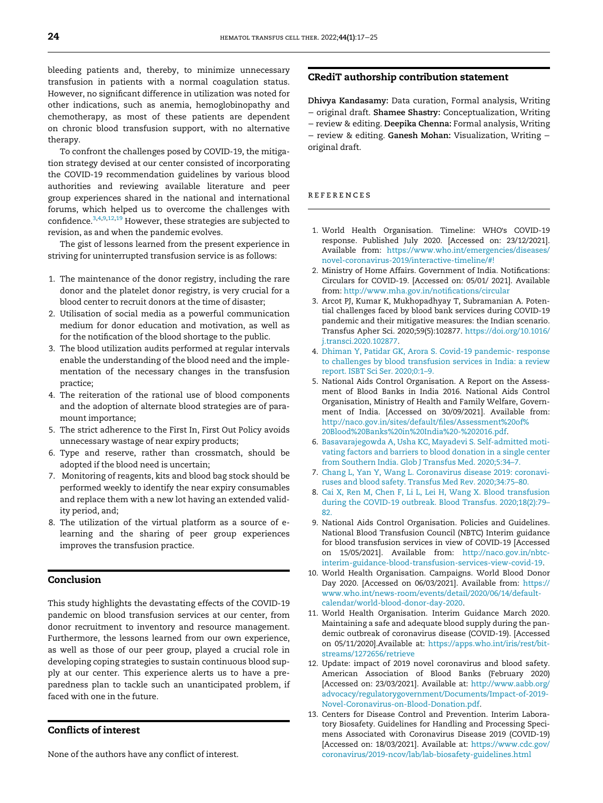bleeding patients and, thereby, to minimize unnecessary transfusion in patients with a normal coagulation status. However, no significant difference in utilization was noted for other indications, such as anemia, hemoglobinopathy and chemotherapy, as most of these patients are dependent on chronic blood transfusion support, with no alternative therapy.

To confront the challenges posed by COVID-19, the mitigation strategy devised at our center consisted of incorporating the COVID-19 recommendation guidelines by various blood authorities and reviewing available literature and peer group experiences shared in the national and international forums, which helped us to overcome the challenges with confidence.[3,](#page-7-2)[4,](#page-7-3)[9](#page-7-8)[,12](#page-7-12),[19](#page-8-2) However, these strategies are subjected to revision, as and when the pandemic evolves.

<span id="page-7-0"></span>The gist of lessons learned from the present experience in striving for uninterrupted transfusion service is as follows:

- <span id="page-7-1"></span>1. The maintenance of the donor registry, including the rare donor and the platelet donor registry, is very crucial for a blood center to recruit donors at the time of disaster;
- <span id="page-7-2"></span>2. Utilisation of social media as a powerful communication medium for donor education and motivation, as well as for the notification of the blood shortage to the public.
- <span id="page-7-3"></span>3. The blood utilization audits performed at regular intervals enable the understanding of the blood need and the implementation of the necessary changes in the transfusion practice;
- <span id="page-7-4"></span>4. The reiteration of the rational use of blood components and the adoption of alternate blood strategies are of paramount importance;
- <span id="page-7-5"></span>5. The strict adherence to the First In, First Out Policy avoids unnecessary wastage of near expiry products;
- 6. Type and reserve, rather than crossmatch, should be adopted if the blood need is uncertain;
- <span id="page-7-7"></span><span id="page-7-6"></span>7. Monitoring of reagents, kits and blood bag stock should be performed weekly to identify the near expiry consumables and replace them with a new lot having an extended validity period, and;
- <span id="page-7-8"></span>8. The utilization of the virtual platform as a source of elearning and the sharing of peer group experiences improves the transfusion practice.

# <span id="page-7-9"></span>Conclusion

<span id="page-7-12"></span><span id="page-7-10"></span>This study highlights the devastating effects of the COVID-19 pandemic on blood transfusion services at our center, from donor recruitment to inventory and resource management. Furthermore, the lessons learned from our own experience, as well as those of our peer group, played a crucial role in developing coping strategies to sustain continuous blood supply at our center. This experience alerts us to have a preparedness plan to tackle such an unanticipated problem, if faced with one in the future.

# <span id="page-7-11"></span>Conflicts of interest

None of the authors have any conflict of interest.

# CRediT authorship contribution statement

Dhivya Kandasamy: Data curation, Formal analysis, Writing − original draft. Shamee Shastry: Conceptualization, Writing − review & editing. Deepika Chenna: Formal analysis, Writing − review & editing. Ganesh Mohan: Visualization, Writing − original draft.

# references

- 1. World Health Organisation. Timeline: WHO's COVID-19 response. Published July 2020. [Accessed on: 23/12/2021]. Available from: [https://www.who.int/emergencies/diseases/](https://www.who.int/emergencies/diseases/novel-coronavirus-2019/interactive-timeline/#!) [novel-coronavirus-2019/interactive-timeline/#!](https://www.who.int/emergencies/diseases/novel-coronavirus-2019/interactive-timeline/#!)
- 2. Ministry of Home Affairs. Government of India. Notifications: Circulars for COVID-19. [Accessed on: 05/01/ 2021]. Available from: [http://www.mha.gov.in/noti](http://www.mha.gov.in/notifications/circular)fications/circular
- 3. Arcot PJ, Kumar K, Mukhopadhyay T, Subramanian A. Potential challenges faced by blood bank services during COVID-19 pandemic and their mitigative measures: the Indian scenario. Transfus Apher Sci. 2020;59(5):102877. https://doi.org/[10.1016/](https://doi.org/10.1016/j.transci.2020.102877) [j.transci.2020.102877.](https://doi.org/10.1016/j.transci.2020.102877)
- 4. [Dhiman Y, Patidar GK, Arora S. Covid-19 pandemic- response](http://refhub.elsevier.com/S2531-1379(21)01337-7/sbref0004) [to challenges by blood transfusion services in India: a review](http://refhub.elsevier.com/S2531-1379(21)01337-7/sbref0004) [report. ISBT Sci Ser. 2020;0:1](http://refhub.elsevier.com/S2531-1379(21)01337-7/sbref0004)–9.
- 5. National Aids Control Organisation. A Report on the Assessment of Blood Banks in India 2016. National Aids Control Organisation, Ministry of Health and Family Welfare, Government of India. [Accessed on 30/09/2021]. Available from: [http://naco.gov.in/sites/default/](http://naco.gov.in/sites/default/files/Assessment%20of%20Blood%20Banks%20in%20India%20-%202016.pdf)files/Assessment%20of% [20Blood%20Banks%20in%20India%20-%202016.pdf.](http://naco.gov.in/sites/default/files/Assessment%20of%20Blood%20Banks%20in%20India%20-%202016.pdf)
- 6. [Basavarajegowda A, Usha KC, Mayadevi S. Self-admitted moti](http://refhub.elsevier.com/S2531-1379(21)01337-7/sbref0006)[vating factors and barriers to blood donation in a single center](http://refhub.elsevier.com/S2531-1379(21)01337-7/sbref0006) [from Southern India. Glob J Transfus Med. 2020;5:34](http://refhub.elsevier.com/S2531-1379(21)01337-7/sbref0006)–7.
- 7. [Chang L, Yan Y, Wang L. Coronavirus disease 2019: coronavi](http://refhub.elsevier.com/S2531-1379(21)01337-7/sbref0007)[ruses and blood safety. Transfus Med Rev. 2020;34:75](http://refhub.elsevier.com/S2531-1379(21)01337-7/sbref0007)–80.
- 8. [Cai X, Ren M, Chen F, Li L, Lei H, Wang X. Blood transfusion](http://refhub.elsevier.com/S2531-1379(21)01337-7/sbref0008) [during the COVID-19 outbreak. Blood Transfus. 2020;18\(2\):79](http://refhub.elsevier.com/S2531-1379(21)01337-7/sbref0008)– [82.](http://refhub.elsevier.com/S2531-1379(21)01337-7/sbref0008)
- 9. National Aids Control Organisation. Policies and Guidelines. National Blood Transfusion Council (NBTC) Interim guidance for blood transfusion services in view of COVID-19 [Accessed on 15/05/2021]. Available from: [http://naco.gov.in/nbtc](http://naco.gov.in/nbtc-interim-guidance-blood-transfusion-services-view-covid-19)[interim-guidance-blood-transfusion-services-view-covid-19](http://naco.gov.in/nbtc-interim-guidance-blood-transfusion-services-view-covid-19).
- 10. World Health Organisation. Campaigns. World Blood Donor Day 2020. [Accessed on 06/03/2021]. Available from: [https://](https://www.who.int/news-room/events/detail/2020/06/14/default-calendar/world-blood-donor-day-2020) [www.who.int/news-room/events/detail/2020/06/14/default](https://www.who.int/news-room/events/detail/2020/06/14/default-calendar/world-blood-donor-day-2020)[calendar/world-blood-donor-day-2020](https://www.who.int/news-room/events/detail/2020/06/14/default-calendar/world-blood-donor-day-2020).
- 11. World Health Organisation. Interim Guidance March 2020. Maintaining a safe and adequate blood supply during the pandemic outbreak of coronavirus disease (COVID-19). [Accessed on 05/11/2020].Available at: [https://apps.who.int/iris/rest/bit](https://apps.who.int/iris/rest/bitstreams/1272656/retrieve)[streams/1272656/retrieve](https://apps.who.int/iris/rest/bitstreams/1272656/retrieve)
- 12. Update: impact of 2019 novel coronavirus and blood safety. American Association of Blood Banks (February 2020) [Accessed on: 23/03/2021]. Available at: [http://www.aabb.org/](http://www.aabb.org/advocacy/regulatorygovernment/Documents/Impact-of-2019-Novel-Coronavirus-on-Blood-Donation.pdf) [advocacy/regulatorygovernment/Documents/Impact-of-2019-](http://www.aabb.org/advocacy/regulatorygovernment/Documents/Impact-of-2019-Novel-Coronavirus-on-Blood-Donation.pdf) [Novel-Coronavirus-on-Blood-Donation.pdf.](http://www.aabb.org/advocacy/regulatorygovernment/Documents/Impact-of-2019-Novel-Coronavirus-on-Blood-Donation.pdf)
- 13. Centers for Disease Control and Prevention. Interim Laboratory Biosafety. Guidelines for Handling and Processing Specimens Associated with Coronavirus Disease 2019 (COVID-19) [Accessed on: 18/03/2021]. Available at: [https://www.cdc.gov/](https://www.cdc.gov/coronavirus/2019-ncov/lab/lab-biosafety-guidelines.html) [coronavirus/2019-ncov/lab/lab-biosafety-guidelines.html](https://www.cdc.gov/coronavirus/2019-ncov/lab/lab-biosafety-guidelines.html)